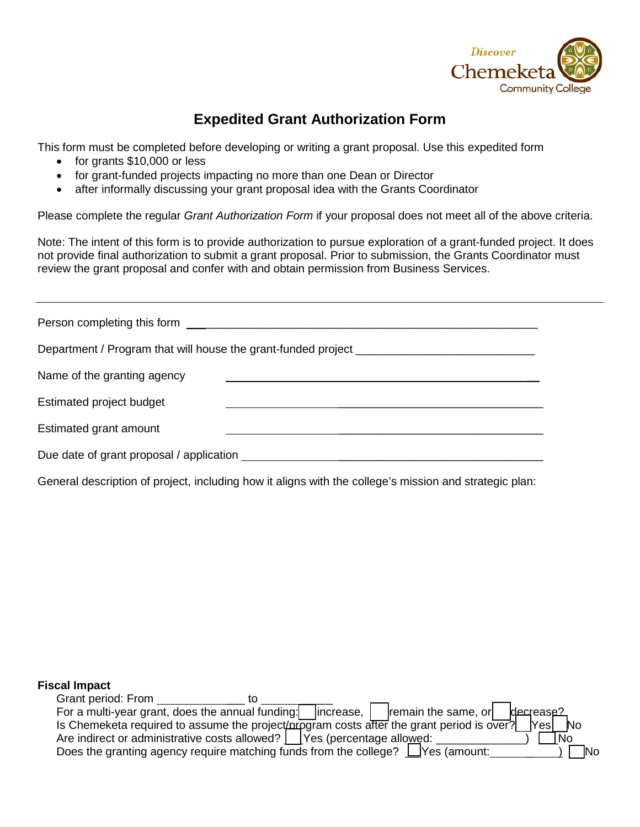

## **Expedited Grant Authorization Form**

This form must be completed before developing or writing a grant proposal. Use this expedited form

- for grants \$10,000 or less
- for grant-funded projects impacting no more than one Dean or Director
- after informally discussing your grant proposal idea with the Grants Coordinator

Please complete the regular *Grant Authorization Form* if your proposal does not meet all of the above criteria.

Note: The intent of this form is to provide authorization to pursue exploration of a grant-funded project. It does not provide final authorization to submit a grant proposal. Prior to submission, the Grants Coordinator must review the grant proposal and confer with and obtain permission from Business Services.

|                             | Department / Program that will house the grant-funded project ___________________ |
|-----------------------------|-----------------------------------------------------------------------------------|
| Name of the granting agency |                                                                                   |
| Estimated project budget    |                                                                                   |
| Estimated grant amount      |                                                                                   |
|                             |                                                                                   |

General description of project, including how it aligns with the college's mission and strategic plan:

## **Fiscal Impact**

| Grant period: From |                                                                                           |            |                     |                          |
|--------------------|-------------------------------------------------------------------------------------------|------------|---------------------|--------------------------|
|                    | For a multi-year grant, does the annual funding:                                          | lincrease, | remain the same, or | decrease?                |
|                    | Is Chemeketa required to assume the project/program costs after the grant period is over? |            |                     | <b>No</b><br><b>Nesl</b> |
|                    | Are indirect or administrative costs allowed?   [Yes (percentage allowed:                 |            |                     | ∣No                      |
|                    | Does the granting agency require matching funds from the college? $\Box$ Yes (amount:     |            |                     | <b>INo</b>               |